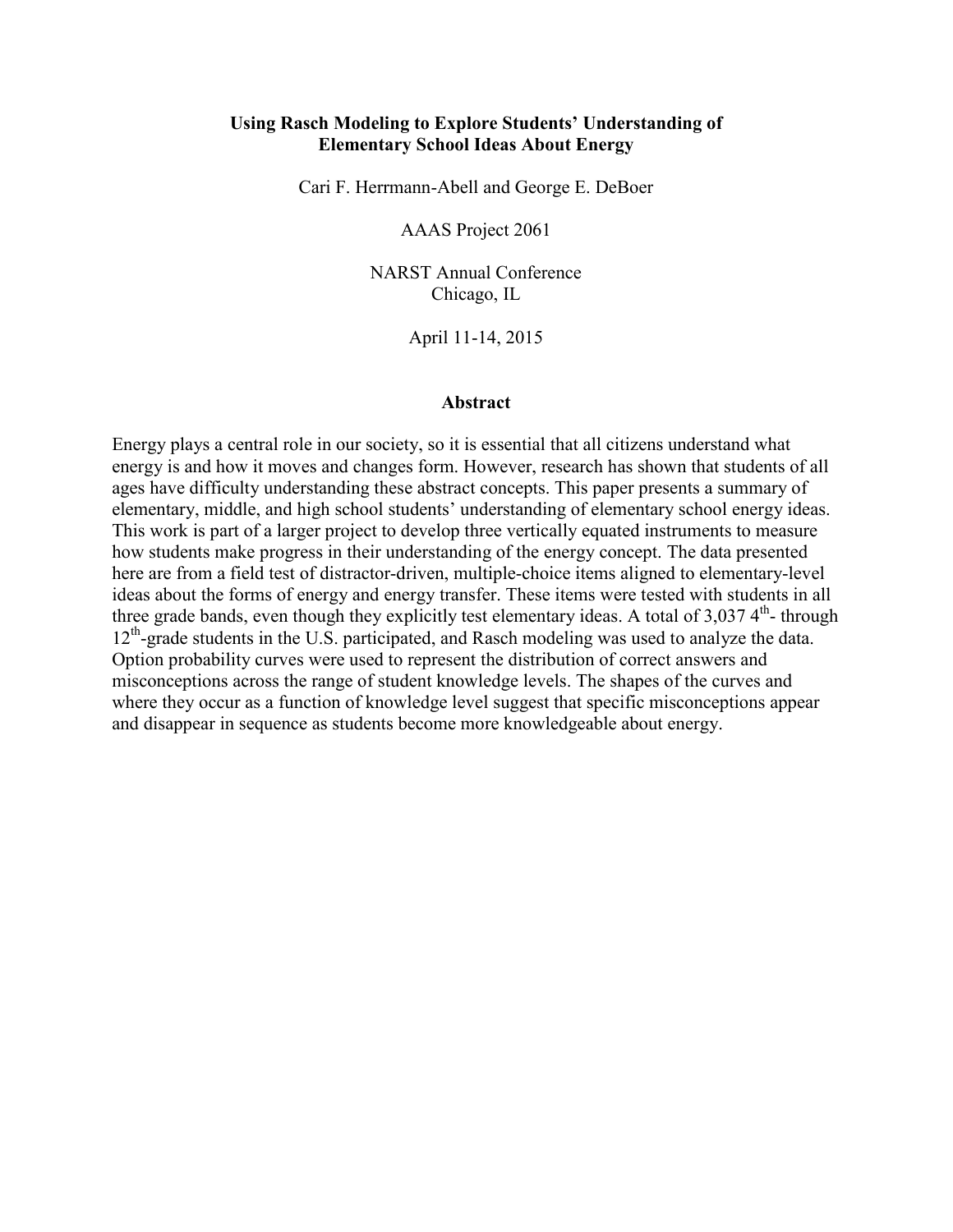### **Using Rasch Modeling to Explore Students' Understanding of Elementary School Ideas About Energy**

Cari F. Herrmann-Abell and George E. DeBoer

AAAS Project 2061

NARST Annual Conference Chicago, IL

April 11-14, 2015

#### **Abstract**

Energy plays a central role in our society, so it is essential that all citizens understand what energy is and how it moves and changes form. However, research has shown that students of all ages have difficulty understanding these abstract concepts. This paper presents a summary of elementary, middle, and high school students' understanding of elementary school energy ideas. This work is part of a larger project to develop three vertically equated instruments to measure how students make progress in their understanding of the energy concept. The data presented here are from a field test of distractor-driven, multiple-choice items aligned to elementary-level ideas about the forms of energy and energy transfer. These items were tested with students in all three grade bands, even though they explicitly test elementary ideas. A total of  $3,037$  4<sup>th</sup>- through  $12<sup>th</sup>$ -grade students in the U.S. participated, and Rasch modeling was used to analyze the data. Option probability curves were used to represent the distribution of correct answers and misconceptions across the range of student knowledge levels. The shapes of the curves and where they occur as a function of knowledge level suggest that specific misconceptions appear and disappear in sequence as students become more knowledgeable about energy.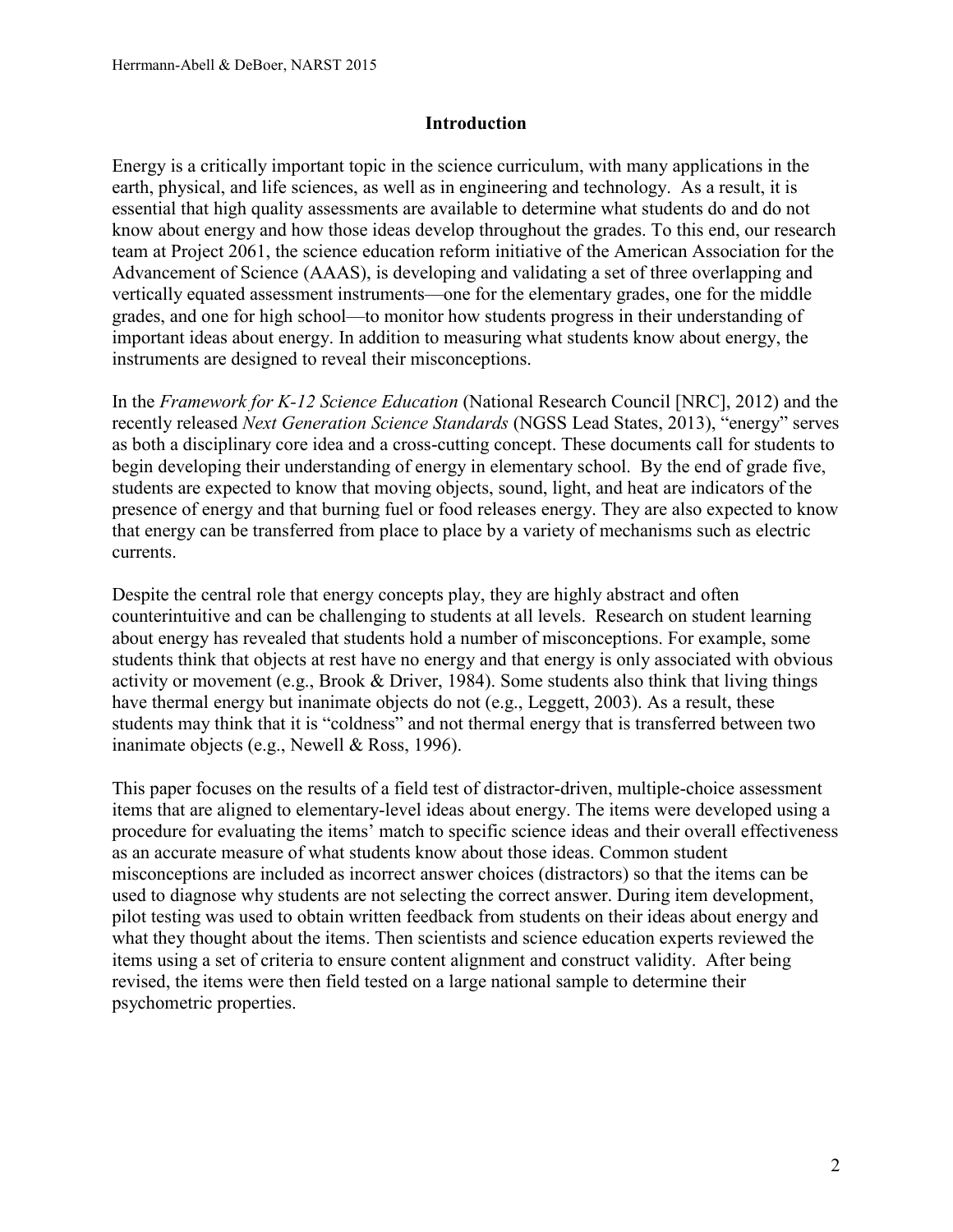## **Introduction**

Energy is a critically important topic in the science curriculum, with many applications in the earth, physical, and life sciences, as well as in engineering and technology. As a result, it is essential that high quality assessments are available to determine what students do and do not know about energy and how those ideas develop throughout the grades. To this end, our research team at Project 2061, the science education reform initiative of the American Association for the Advancement of Science (AAAS), is developing and validating a set of three overlapping and vertically equated assessment instruments—one for the elementary grades, one for the middle grades, and one for high school—to monitor how students progress in their understanding of important ideas about energy. In addition to measuring what students know about energy, the instruments are designed to reveal their misconceptions.

In the *Framework for K-12 Science Education* (National Research Council [NRC], 2012) and the recently released *Next Generation Science Standards* (NGSS Lead States, 2013), "energy" serves as both a disciplinary core idea and a cross-cutting concept. These documents call for students to begin developing their understanding of energy in elementary school. By the end of grade five, students are expected to know that moving objects, sound, light, and heat are indicators of the presence of energy and that burning fuel or food releases energy. They are also expected to know that energy can be transferred from place to place by a variety of mechanisms such as electric currents.

Despite the central role that energy concepts play, they are highly abstract and often counterintuitive and can be challenging to students at all levels. Research on student learning about energy has revealed that students hold a number of misconceptions. For example, some students think that objects at rest have no energy and that energy is only associated with obvious activity or movement (e.g., Brook & Driver, 1984). Some students also think that living things have thermal energy but inanimate objects do not (e.g., Leggett, 2003). As a result, these students may think that it is "coldness" and not thermal energy that is transferred between two inanimate objects (e.g., Newell & Ross, 1996).

This paper focuses on the results of a field test of distractor-driven, multiple-choice assessment items that are aligned to elementary-level ideas about energy. The items were developed using a procedure for evaluating the items' match to specific science ideas and their overall effectiveness as an accurate measure of what students know about those ideas. Common student misconceptions are included as incorrect answer choices (distractors) so that the items can be used to diagnose why students are not selecting the correct answer. During item development, pilot testing was used to obtain written feedback from students on their ideas about energy and what they thought about the items. Then scientists and science education experts reviewed the items using a set of criteria to ensure content alignment and construct validity. After being revised, the items were then field tested on a large national sample to determine their psychometric properties.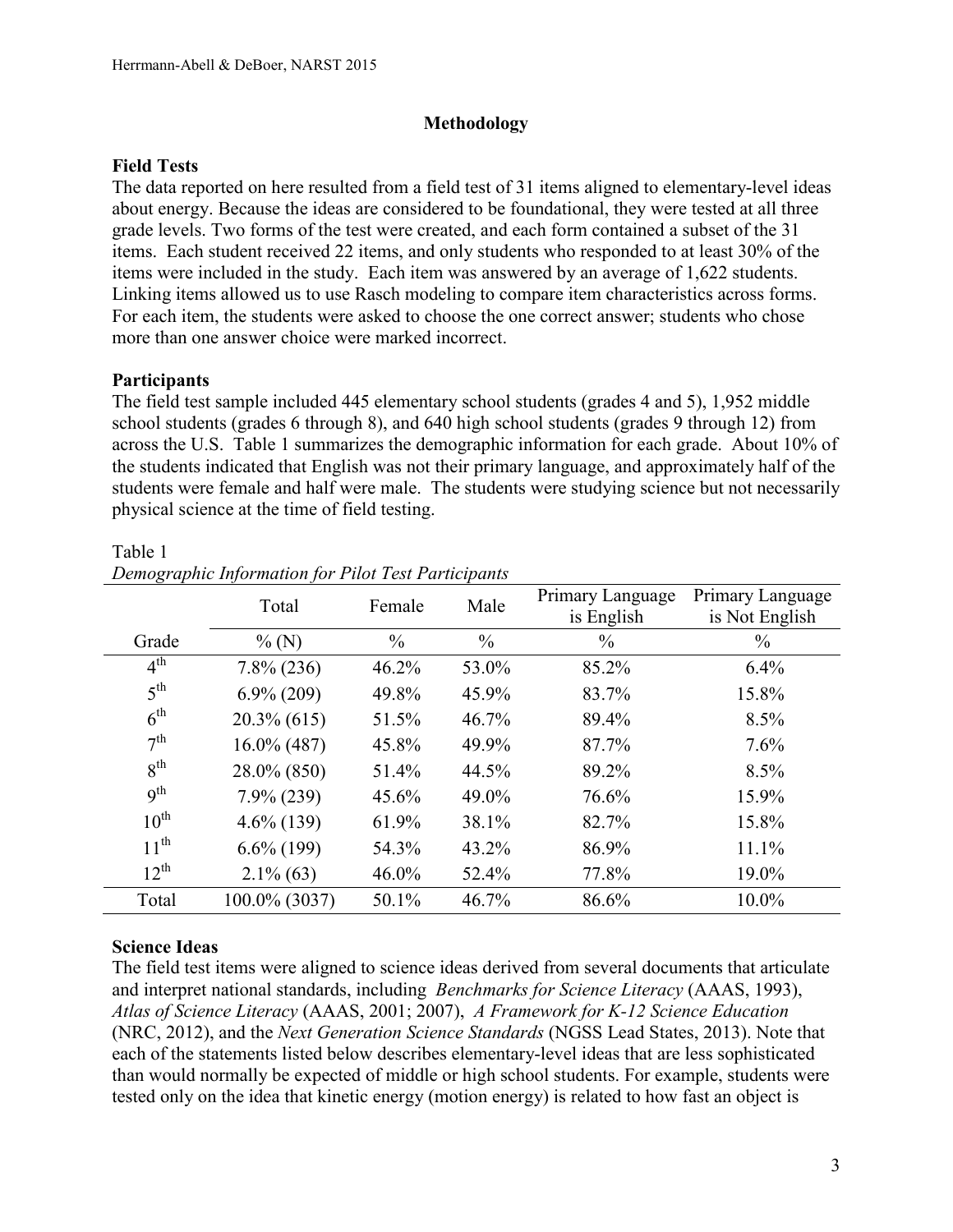## **Methodology**

## **Field Tests**

The data reported on here resulted from a field test of 31 items aligned to elementary-level ideas about energy. Because the ideas are considered to be foundational, they were tested at all three grade levels. Two forms of the test were created, and each form contained a subset of the 31 items. Each student received 22 items, and only students who responded to at least 30% of the items were included in the study. Each item was answered by an average of 1,622 students. Linking items allowed us to use Rasch modeling to compare item characteristics across forms. For each item, the students were asked to choose the one correct answer; students who chose more than one answer choice were marked incorrect.

## **Participants**

The field test sample included 445 elementary school students (grades 4 and 5), 1,952 middle school students (grades 6 through 8), and 640 high school students (grades 9 through 12) from across the U.S. Table 1 summarizes the demographic information for each grade. About 10% of the students indicated that English was not their primary language, and approximately half of the students were female and half were male. The students were studying science but not necessarily physical science at the time of field testing.

|                 | Total          | Female        | Male          | Primary Language<br>is English | Primary Language<br>is Not English |
|-----------------|----------------|---------------|---------------|--------------------------------|------------------------------------|
| Grade           | $\%$ (N)       | $\frac{0}{0}$ | $\frac{0}{0}$ | $\frac{0}{0}$                  | $\frac{0}{0}$                      |
| $4^{\text{th}}$ | $7.8\%$ (236)  | 46.2%         | 53.0%         | 85.2%                          | 6.4%                               |
| 5 <sup>th</sup> | $6.9\%$ (209)  | 49.8%         | 45.9%         | 83.7%                          | 15.8%                              |
| 6 <sup>th</sup> | $20.3\%$ (615) | 51.5%         | 46.7%         | 89.4%                          | 8.5%                               |
| 7 <sup>th</sup> | $16.0\%$ (487) | 45.8%         | 49.9%         | 87.7%                          | 7.6%                               |
| 8 <sup>th</sup> | 28.0% (850)    | 51.4%         | 44.5%         | 89.2%                          | 8.5%                               |
| <b>9th</b>      | $7.9\% (239)$  | 45.6%         | 49.0%         | 76.6%                          | 15.9%                              |
| $10^{th}$       | $4.6\%$ (139)  | 61.9%         | 38.1%         | 82.7%                          | 15.8%                              |
| $11^{th}$       | $6.6\%$ (199)  | 54.3%         | 43.2%         | 86.9%                          | 11.1%                              |
| $12^{th}$       | $2.1\%$ (63)   | 46.0%         | 52.4%         | 77.8%                          | 19.0%                              |
| Total           | 100.0% (3037)  | 50.1%         | 46.7%         | 86.6%                          | 10.0%                              |

### Table 1

| Demographic Information for Pilot Test Participants |  |  |
|-----------------------------------------------------|--|--|
|                                                     |  |  |

# **Science Ideas**

The field test items were aligned to science ideas derived from several documents that articulate and interpret national standards, including *Benchmarks for Science Literacy* (AAAS, 1993), *Atlas of Science Literacy* (AAAS, 2001; 2007), *A Framework for K-12 Science Education* (NRC, 2012), and the *Next Generation Science Standards* (NGSS Lead States, 2013). Note that each of the statements listed below describes elementary-level ideas that are less sophisticated than would normally be expected of middle or high school students. For example, students were tested only on the idea that kinetic energy (motion energy) is related to how fast an object is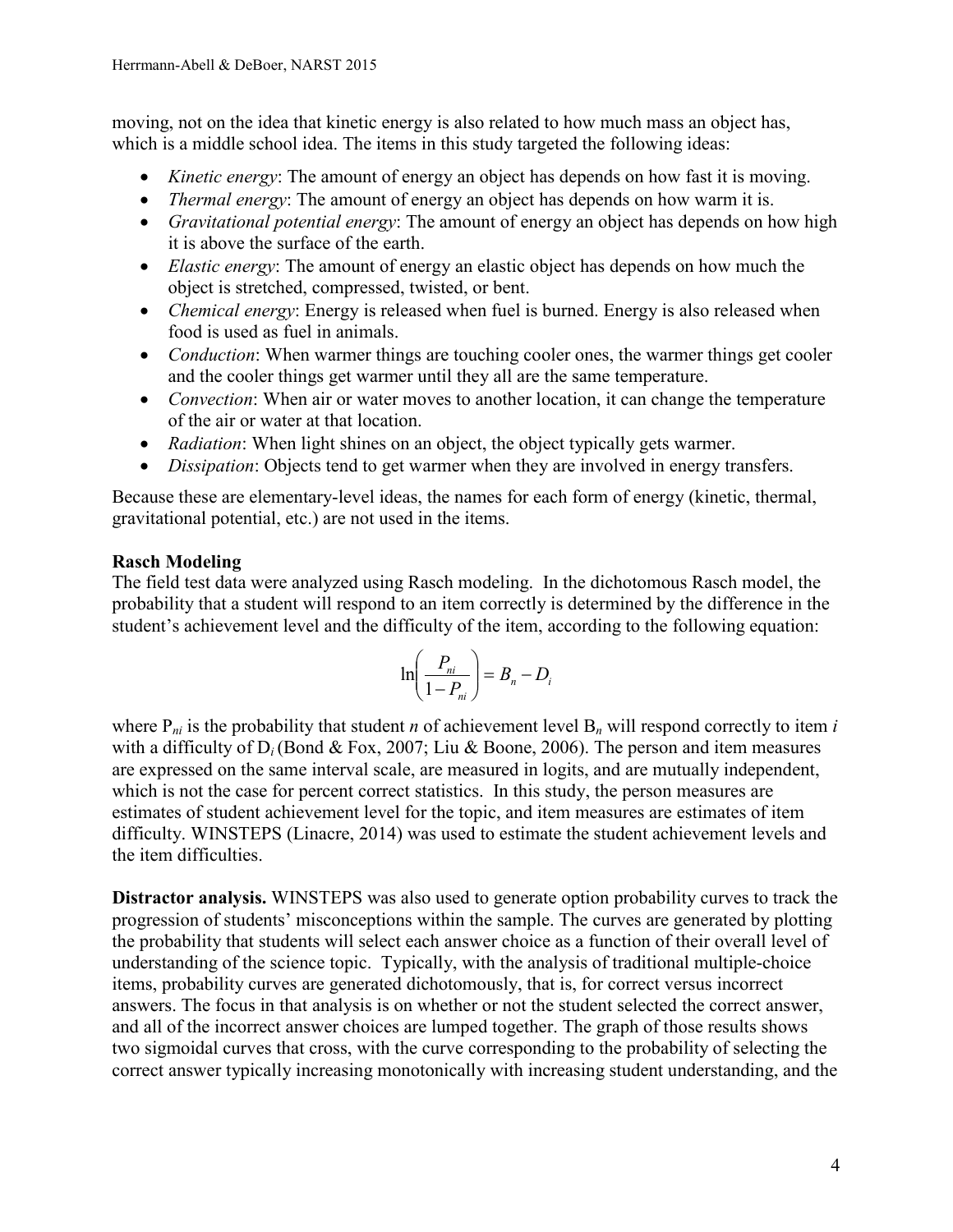moving, not on the idea that kinetic energy is also related to how much mass an object has, which is a middle school idea. The items in this study targeted the following ideas:

- *Kinetic energy*: The amount of energy an object has depends on how fast it is moving.
- *Thermal energy*: The amount of energy an object has depends on how warm it is.
- *Gravitational potential energy*: The amount of energy an object has depends on how high it is above the surface of the earth.
- *Elastic energy*: The amount of energy an elastic object has depends on how much the object is stretched, compressed, twisted, or bent.
- *Chemical energy*: Energy is released when fuel is burned. Energy is also released when food is used as fuel in animals.
- *Conduction*: When warmer things are touching cooler ones, the warmer things get cooler and the cooler things get warmer until they all are the same temperature.
- *Convection*: When air or water moves to another location, it can change the temperature of the air or water at that location.
- *Radiation*: When light shines on an object, the object typically gets warmer.
- *Dissipation*: Objects tend to get warmer when they are involved in energy transfers.

Because these are elementary-level ideas, the names for each form of energy (kinetic, thermal, gravitational potential, etc.) are not used in the items.

# **Rasch Modeling**

The field test data were analyzed using Rasch modeling. In the dichotomous Rasch model, the probability that a student will respond to an item correctly is determined by the difference in the student's achievement level and the difficulty of the item, according to the following equation:

$$
\ln\left(\frac{P_{ni}}{1-P_{ni}}\right) = B_n - D_i
$$

where  $P_{ni}$  is the probability that student *n* of achievement level  $B_n$  will respond correctly to item *i* with a difficulty of  $D_i$  (Bond & Fox, 2007; Liu & Boone, 2006). The person and item measures are expressed on the same interval scale, are measured in logits, and are mutually independent, which is not the case for percent correct statistics. In this study, the person measures are estimates of student achievement level for the topic, and item measures are estimates of item difficulty. WINSTEPS (Linacre, 2014) was used to estimate the student achievement levels and the item difficulties.

**Distractor analysis.** WINSTEPS was also used to generate option probability curves to track the progression of students' misconceptions within the sample. The curves are generated by plotting the probability that students will select each answer choice as a function of their overall level of understanding of the science topic. Typically, with the analysis of traditional multiple-choice items, probability curves are generated dichotomously, that is, for correct versus incorrect answers. The focus in that analysis is on whether or not the student selected the correct answer, and all of the incorrect answer choices are lumped together. The graph of those results shows two sigmoidal curves that cross, with the curve corresponding to the probability of selecting the correct answer typically increasing monotonically with increasing student understanding, and the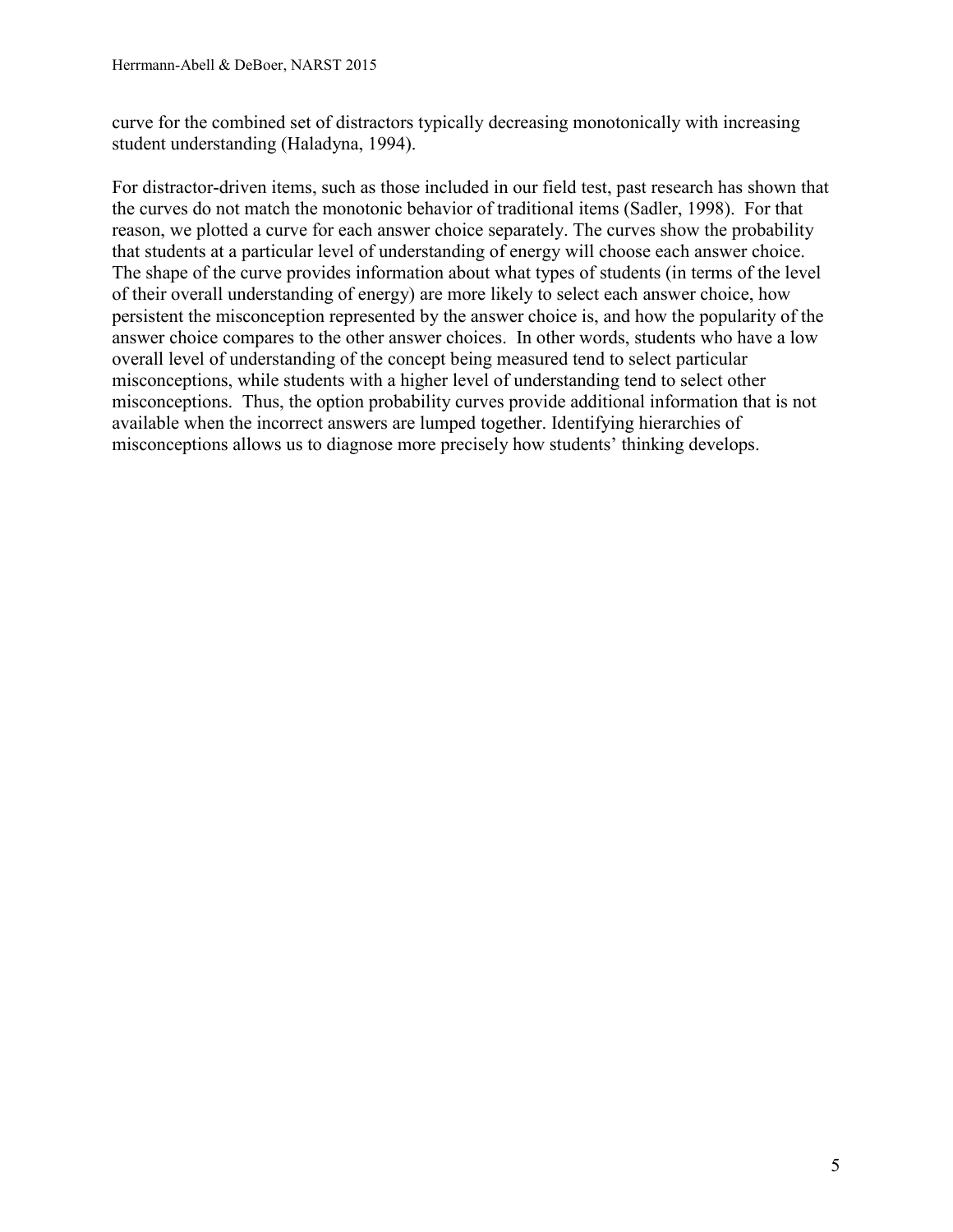curve for the combined set of distractors typically decreasing monotonically with increasing student understanding (Haladyna, 1994).

For distractor-driven items, such as those included in our field test, past research has shown that the curves do not match the monotonic behavior of traditional items (Sadler, 1998). For that reason, we plotted a curve for each answer choice separately. The curves show the probability that students at a particular level of understanding of energy will choose each answer choice. The shape of the curve provides information about what types of students (in terms of the level of their overall understanding of energy) are more likely to select each answer choice, how persistent the misconception represented by the answer choice is, and how the popularity of the answer choice compares to the other answer choices. In other words, students who have a low overall level of understanding of the concept being measured tend to select particular misconceptions, while students with a higher level of understanding tend to select other misconceptions. Thus, the option probability curves provide additional information that is not available when the incorrect answers are lumped together. Identifying hierarchies of misconceptions allows us to diagnose more precisely how students' thinking develops.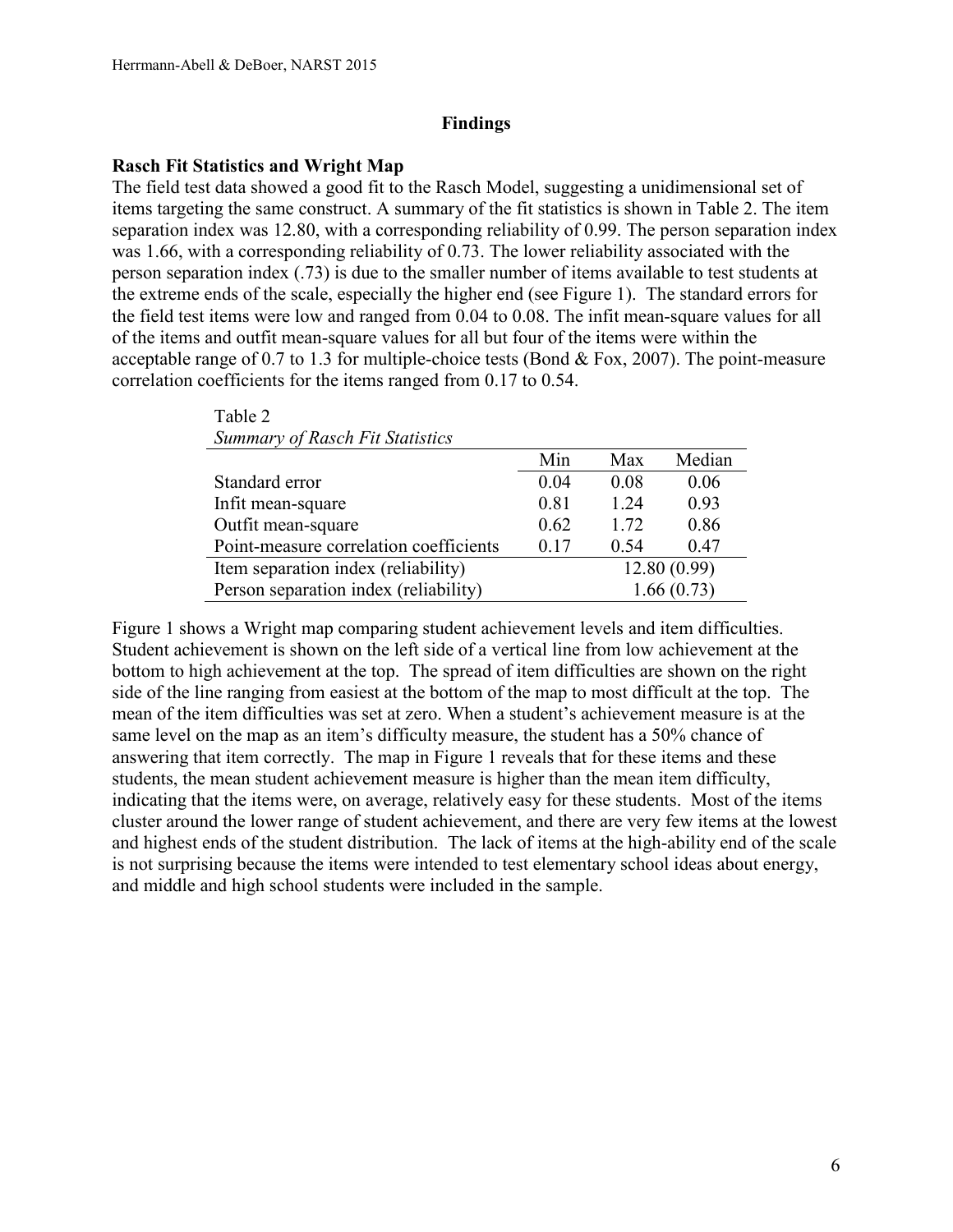### **Findings**

### **Rasch Fit Statistics and Wright Map**

 $Table 2$ 

The field test data showed a good fit to the Rasch Model, suggesting a unidimensional set of items targeting the same construct. A summary of the fit statistics is shown in Table 2. The item separation index was 12.80, with a corresponding reliability of 0.99. The person separation index was 1.66, with a corresponding reliability of 0.73. The lower reliability associated with the person separation index (.73) is due to the smaller number of items available to test students at the extreme ends of the scale, especially the higher end (see Figure 1). The standard errors for the field test items were low and ranged from 0.04 to 0.08. The infit mean-square values for all of the items and outfit mean-square values for all but four of the items were within the acceptable range of 0.7 to 1.3 for multiple-choice tests (Bond & Fox, 2007). The point-measure correlation coefficients for the items ranged from 0.17 to 0.54.

| $1$ avit $2$                           |            |             |        |  |
|----------------------------------------|------------|-------------|--------|--|
| <b>Summary of Rasch Fit Statistics</b> |            |             |        |  |
|                                        | Min        | Max         | Median |  |
| Standard error                         | 0.04       | 0.08        | 0.06   |  |
| Infit mean-square                      | 0.81       | 1.24        | 0.93   |  |
| Outfit mean-square                     | 0.62       | 1.72        | 0.86   |  |
| Point-measure correlation coefficients | 0.17       | 0.54        | 0.47   |  |
| Item separation index (reliability)    |            | 12.80(0.99) |        |  |
| Person separation index (reliability)  | 1.66(0.73) |             |        |  |

Figure 1 shows a Wright map comparing student achievement levels and item difficulties. Student achievement is shown on the left side of a vertical line from low achievement at the bottom to high achievement at the top. The spread of item difficulties are shown on the right side of the line ranging from easiest at the bottom of the map to most difficult at the top. The mean of the item difficulties was set at zero. When a student's achievement measure is at the same level on the map as an item's difficulty measure, the student has a 50% chance of answering that item correctly. The map in Figure 1 reveals that for these items and these students, the mean student achievement measure is higher than the mean item difficulty, indicating that the items were, on average, relatively easy for these students. Most of the items cluster around the lower range of student achievement, and there are very few items at the lowest and highest ends of the student distribution. The lack of items at the high-ability end of the scale is not surprising because the items were intended to test elementary school ideas about energy, and middle and high school students were included in the sample.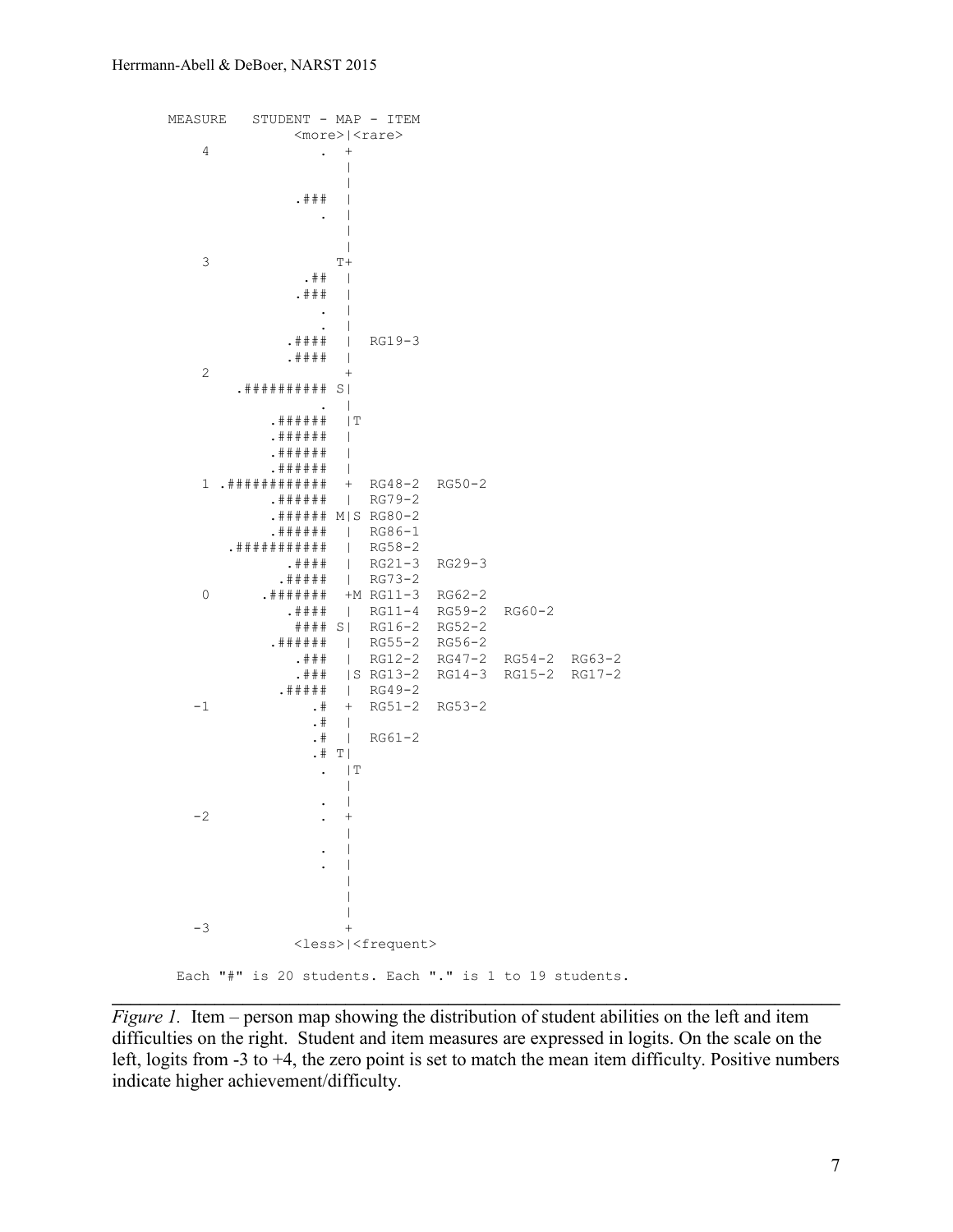```
MEASURE STUDENT - MAP - ITEM
   <\!\!more\!\!>\mid\!\!<rare\!\!>\,\!4\cdot +
 |
                 |
            . # ## . |
 |
                \frac{1}{T+1}3 T+
. ## |
            . # ## . |
               \cdot |
            .#### | RG19-3
   2 +<br>2 +2 + .########## S| 
 . |
           .###### |T
           .###### |
           .###### |
    .###### | 
                 + RG48-2 RG50-2
           .###### | RG79-2
           .###### M|S RG80-2
          .###### | RG86-1<br>######## | RG58-2
       .########### | RG58-2
            .#### | RG21-3 RG29-3
   .##### | RG73-2<br>0 .####### +M RG11-3
         .######## +M RG11-3 RG62-2
            .#### | RG11-4 RG59-2 RG60-2
             #### S| RG16-2 RG52-2
           .###### | RG55-2 RG56-2
             .### | RG12-2 RG47-2 RG54-2 RG63-2
           .### |S RG13-2 RG14-3 RG15-2 RG17-2<br>.##### | RG49-2
  .##### | RG49-2<br>2-1 1 .# + RG51-4
              .# + RG51-2 RG53-2<br>.# |
. The set of the set of \mathbf{H} = \mathbf{H}.# | RG61-2
              .# T|
. |\mathbb{T}| |
 . |
-2 . + |
 . |
                 . |
 |
                 |
                 \perp-3 +
             <less>|<frequent>
Each "#" is 20 students. Each "." is 1 to 19 students.
```
*Figure 1.* Item – person map showing the distribution of student abilities on the left and item difficulties on the right. Student and item measures are expressed in logits. On the scale on the left, logits from -3 to +4, the zero point is set to match the mean item difficulty. Positive numbers indicate higher achievement/difficulty.

**\_\_\_\_\_\_\_\_\_\_\_\_\_\_\_\_\_\_\_\_\_\_\_\_\_\_\_\_\_\_\_\_\_\_\_\_\_\_\_\_\_\_\_\_\_\_\_\_\_\_\_\_\_\_\_\_\_\_\_\_\_\_\_\_\_\_\_\_\_\_\_\_\_\_\_\_\_\_**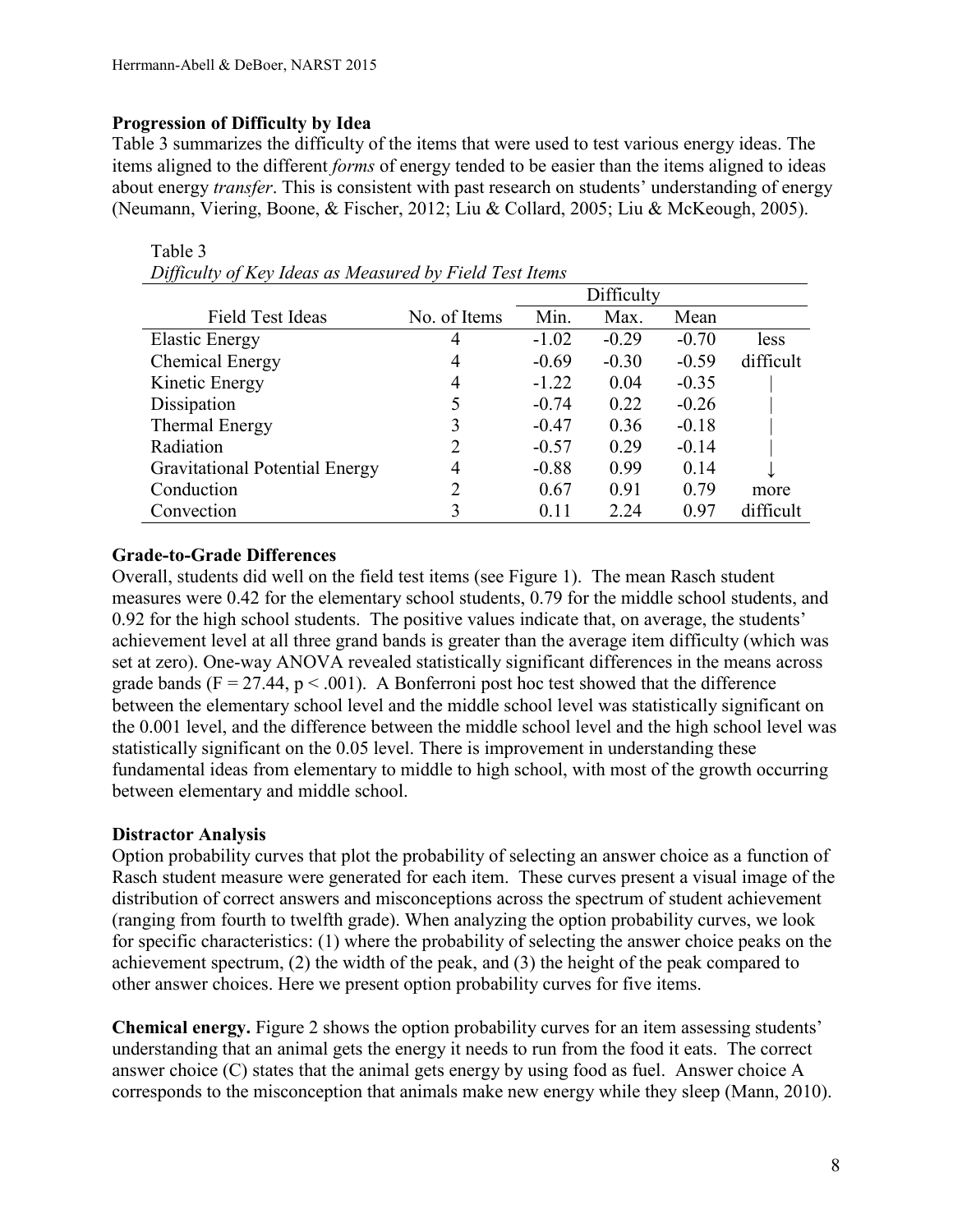# **Progression of Difficulty by Idea**

Table 3

Table 3 summarizes the difficulty of the items that were used to test various energy ideas. The items aligned to the different *forms* of energy tended to be easier than the items aligned to ideas about energy *transfer*. This is consistent with past research on students' understanding of energy (Neumann, Viering, Boone, & Fischer, 2012; Liu & Collard, 2005; Liu & McKeough, 2005).

| vv                                    |                |         | Difficulty |         |           |
|---------------------------------------|----------------|---------|------------|---------|-----------|
| Field Test Ideas                      | No. of Items   | Min.    | Max.       | Mean    |           |
| <b>Elastic Energy</b>                 | 4              | $-1.02$ | $-0.29$    | $-0.70$ | less      |
| Chemical Energy                       | 4              | $-0.69$ | $-0.30$    | $-0.59$ | difficult |
| Kinetic Energy                        | 4              | $-1.22$ | 0.04       | $-0.35$ |           |
| Dissipation                           |                | $-0.74$ | 0.22       | $-0.26$ |           |
| Thermal Energy                        |                | $-0.47$ | 0.36       | $-0.18$ |           |
| Radiation                             | 2              | $-0.57$ | 0.29       | $-0.14$ |           |
| <b>Gravitational Potential Energy</b> | $\overline{4}$ | $-0.88$ | 0.99       | 0.14    |           |
| Conduction                            |                | 0.67    | 0.91       | 0.79    | more      |
| Convection                            |                | 0.11    | 2.24       | 0.97    | difficult |

*Difficulty of Key Ideas as Measured by Field Test Items*

# **Grade-to-Grade Differences**

Overall, students did well on the field test items (see Figure 1). The mean Rasch student measures were 0.42 for the elementary school students, 0.79 for the middle school students, and 0.92 for the high school students. The positive values indicate that, on average, the students' achievement level at all three grand bands is greater than the average item difficulty (which was set at zero). One-way ANOVA revealed statistically significant differences in the means across grade bands ( $F = 27.44$ ,  $p < .001$ ). A Bonferroni post hoc test showed that the difference between the elementary school level and the middle school level was statistically significant on the 0.001 level, and the difference between the middle school level and the high school level was statistically significant on the 0.05 level. There is improvement in understanding these fundamental ideas from elementary to middle to high school, with most of the growth occurring between elementary and middle school.

# **Distractor Analysis**

Option probability curves that plot the probability of selecting an answer choice as a function of Rasch student measure were generated for each item. These curves present a visual image of the distribution of correct answers and misconceptions across the spectrum of student achievement (ranging from fourth to twelfth grade). When analyzing the option probability curves, we look for specific characteristics: (1) where the probability of selecting the answer choice peaks on the achievement spectrum, (2) the width of the peak, and (3) the height of the peak compared to other answer choices. Here we present option probability curves for five items.

**Chemical energy.** Figure 2 shows the option probability curves for an item assessing students' understanding that an animal gets the energy it needs to run from the food it eats. The correct answer choice (C) states that the animal gets energy by using food as fuel. Answer choice A corresponds to the misconception that animals make new energy while they sleep (Mann, 2010).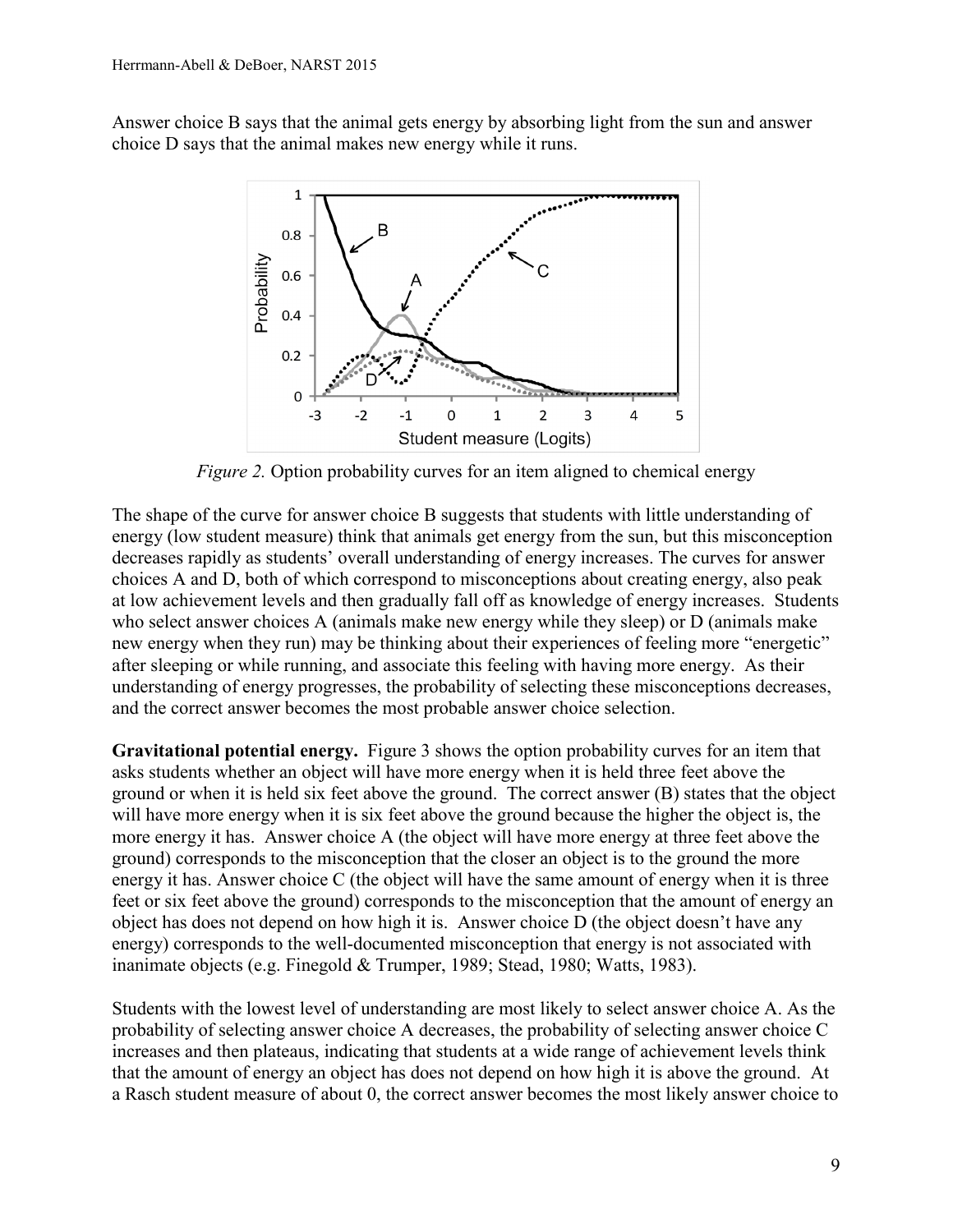Answer choice B says that the animal gets energy by absorbing light from the sun and answer choice D says that the animal makes new energy while it runs.



*Figure 2.* Option probability curves for an item aligned to chemical energy

The shape of the curve for answer choice B suggests that students with little understanding of energy (low student measure) think that animals get energy from the sun, but this misconception decreases rapidly as students' overall understanding of energy increases. The curves for answer choices A and D, both of which correspond to misconceptions about creating energy, also peak at low achievement levels and then gradually fall off as knowledge of energy increases. Students who select answer choices A (animals make new energy while they sleep) or D (animals make new energy when they run) may be thinking about their experiences of feeling more "energetic" after sleeping or while running, and associate this feeling with having more energy. As their understanding of energy progresses, the probability of selecting these misconceptions decreases, and the correct answer becomes the most probable answer choice selection.

**Gravitational potential energy.** Figure 3 shows the option probability curves for an item that asks students whether an object will have more energy when it is held three feet above the ground or when it is held six feet above the ground. The correct answer (B) states that the object will have more energy when it is six feet above the ground because the higher the object is, the more energy it has. Answer choice A (the object will have more energy at three feet above the ground) corresponds to the misconception that the closer an object is to the ground the more energy it has. Answer choice C (the object will have the same amount of energy when it is three feet or six feet above the ground) corresponds to the misconception that the amount of energy an object has does not depend on how high it is. Answer choice D (the object doesn't have any energy) corresponds to the well-documented misconception that energy is not associated with inanimate objects (e.g. Finegold & Trumper, 1989; Stead, 1980; Watts, 1983).

Students with the lowest level of understanding are most likely to select answer choice A. As the probability of selecting answer choice A decreases, the probability of selecting answer choice C increases and then plateaus, indicating that students at a wide range of achievement levels think that the amount of energy an object has does not depend on how high it is above the ground. At a Rasch student measure of about 0, the correct answer becomes the most likely answer choice to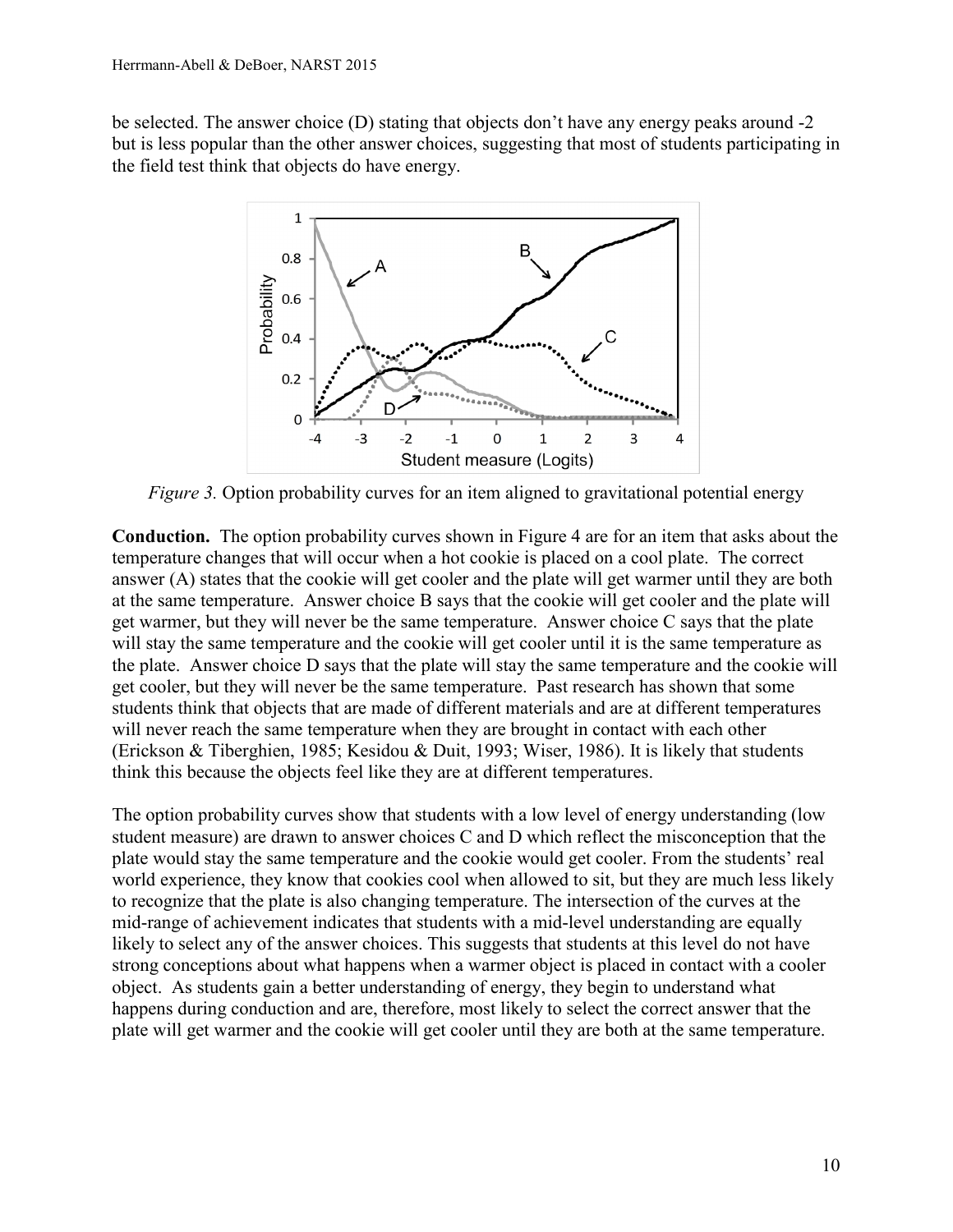be selected. The answer choice (D) stating that objects don't have any energy peaks around -2 but is less popular than the other answer choices, suggesting that most of students participating in the field test think that objects do have energy.



*Figure 3.* Option probability curves for an item aligned to gravitational potential energy

**Conduction.** The option probability curves shown in Figure 4 are for an item that asks about the temperature changes that will occur when a hot cookie is placed on a cool plate. The correct answer (A) states that the cookie will get cooler and the plate will get warmer until they are both at the same temperature. Answer choice B says that the cookie will get cooler and the plate will get warmer, but they will never be the same temperature. Answer choice C says that the plate will stay the same temperature and the cookie will get cooler until it is the same temperature as the plate. Answer choice D says that the plate will stay the same temperature and the cookie will get cooler, but they will never be the same temperature. Past research has shown that some students think that objects that are made of different materials and are at different temperatures will never reach the same temperature when they are brought in contact with each other (Erickson & Tiberghien, 1985; Kesidou & Duit, 1993; Wiser, 1986). It is likely that students think this because the objects feel like they are at different temperatures.

The option probability curves show that students with a low level of energy understanding (low student measure) are drawn to answer choices C and D which reflect the misconception that the plate would stay the same temperature and the cookie would get cooler. From the students' real world experience, they know that cookies cool when allowed to sit, but they are much less likely to recognize that the plate is also changing temperature. The intersection of the curves at the mid-range of achievement indicates that students with a mid-level understanding are equally likely to select any of the answer choices. This suggests that students at this level do not have strong conceptions about what happens when a warmer object is placed in contact with a cooler object. As students gain a better understanding of energy, they begin to understand what happens during conduction and are, therefore, most likely to select the correct answer that the plate will get warmer and the cookie will get cooler until they are both at the same temperature.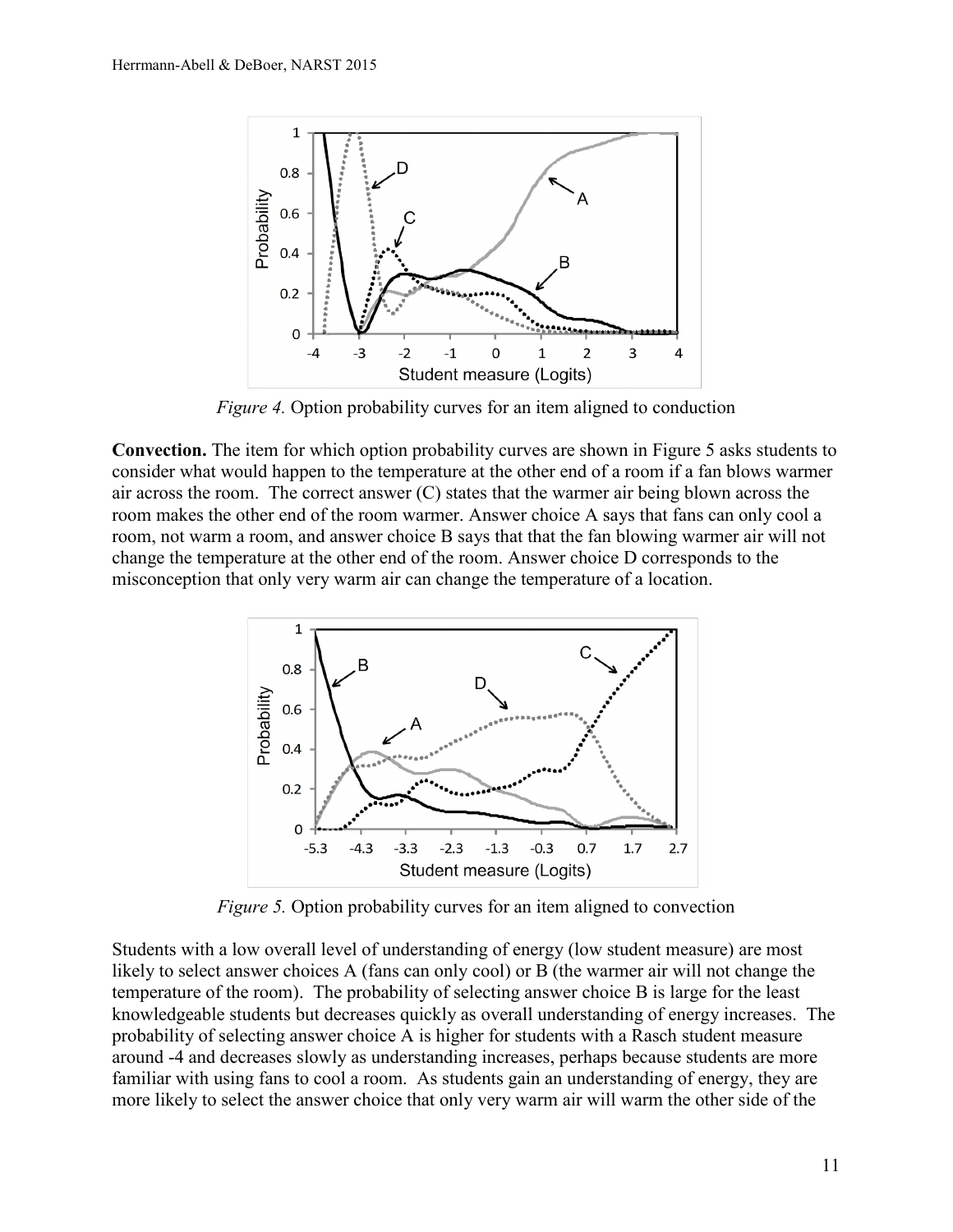

*Figure 4.* Option probability curves for an item aligned to conduction

**Convection.** The item for which option probability curves are shown in Figure 5 asks students to consider what would happen to the temperature at the other end of a room if a fan blows warmer air across the room. The correct answer (C) states that the warmer air being blown across the room makes the other end of the room warmer. Answer choice A says that fans can only cool a room, not warm a room, and answer choice B says that that the fan blowing warmer air will not change the temperature at the other end of the room. Answer choice D corresponds to the misconception that only very warm air can change the temperature of a location.



*Figure 5.* Option probability curves for an item aligned to convection

Students with a low overall level of understanding of energy (low student measure) are most likely to select answer choices A (fans can only cool) or B (the warmer air will not change the temperature of the room). The probability of selecting answer choice B is large for the least knowledgeable students but decreases quickly as overall understanding of energy increases. The probability of selecting answer choice A is higher for students with a Rasch student measure around -4 and decreases slowly as understanding increases, perhaps because students are more familiar with using fans to cool a room. As students gain an understanding of energy, they are more likely to select the answer choice that only very warm air will warm the other side of the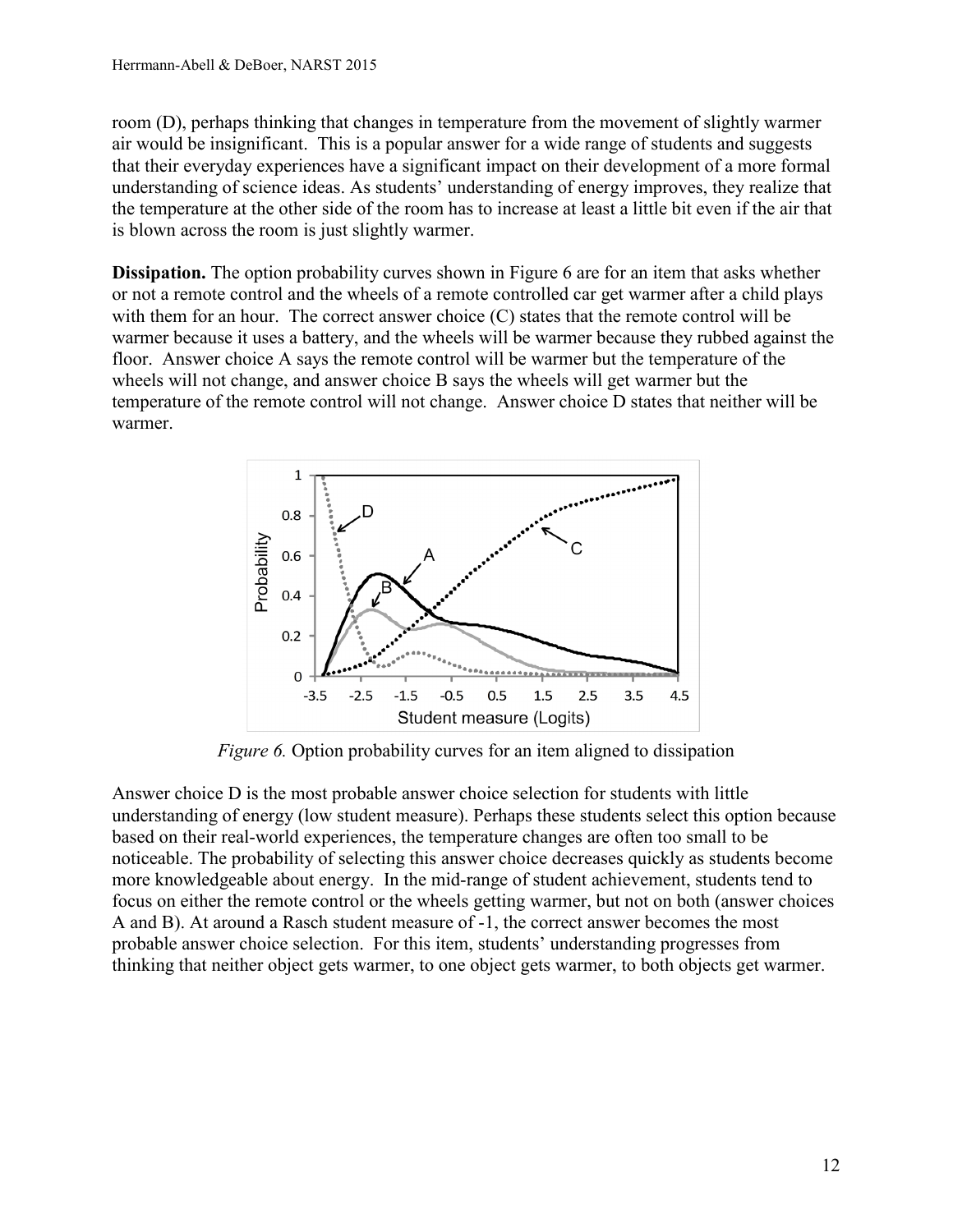room (D), perhaps thinking that changes in temperature from the movement of slightly warmer air would be insignificant. This is a popular answer for a wide range of students and suggests that their everyday experiences have a significant impact on their development of a more formal understanding of science ideas. As students' understanding of energy improves, they realize that the temperature at the other side of the room has to increase at least a little bit even if the air that is blown across the room is just slightly warmer.

**Dissipation.** The option probability curves shown in Figure 6 are for an item that asks whether or not a remote control and the wheels of a remote controlled car get warmer after a child plays with them for an hour. The correct answer choice  $(C)$  states that the remote control will be warmer because it uses a battery, and the wheels will be warmer because they rubbed against the floor. Answer choice A says the remote control will be warmer but the temperature of the wheels will not change, and answer choice B says the wheels will get warmer but the temperature of the remote control will not change. Answer choice D states that neither will be warmer.



*Figure 6.* Option probability curves for an item aligned to dissipation

Answer choice D is the most probable answer choice selection for students with little understanding of energy (low student measure). Perhaps these students select this option because based on their real-world experiences, the temperature changes are often too small to be noticeable. The probability of selecting this answer choice decreases quickly as students become more knowledgeable about energy. In the mid-range of student achievement, students tend to focus on either the remote control or the wheels getting warmer, but not on both (answer choices A and B). At around a Rasch student measure of -1, the correct answer becomes the most probable answer choice selection. For this item, students' understanding progresses from thinking that neither object gets warmer, to one object gets warmer, to both objects get warmer.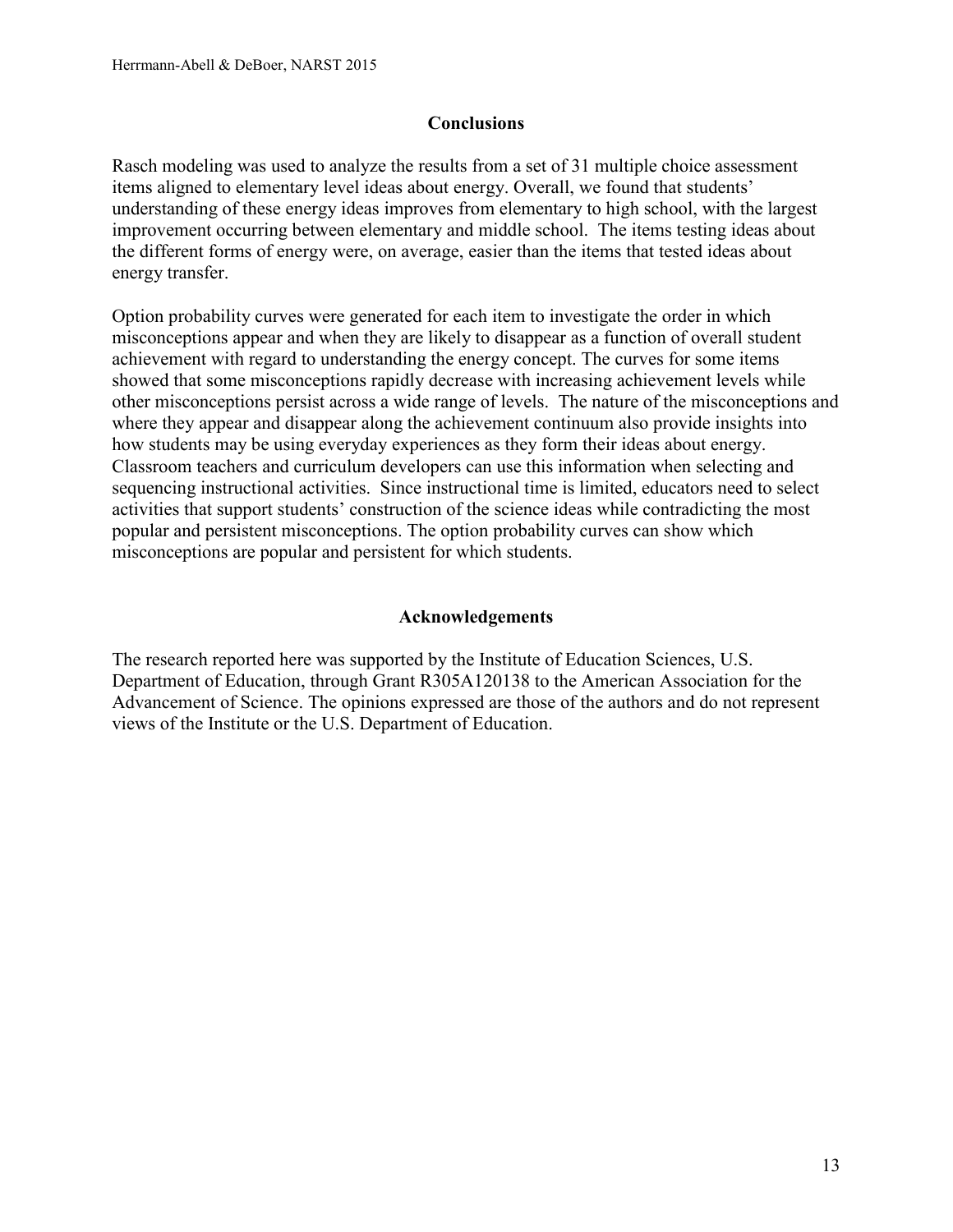# **Conclusions**

Rasch modeling was used to analyze the results from a set of 31 multiple choice assessment items aligned to elementary level ideas about energy. Overall, we found that students' understanding of these energy ideas improves from elementary to high school, with the largest improvement occurring between elementary and middle school. The items testing ideas about the different forms of energy were, on average, easier than the items that tested ideas about energy transfer.

Option probability curves were generated for each item to investigate the order in which misconceptions appear and when they are likely to disappear as a function of overall student achievement with regard to understanding the energy concept. The curves for some items showed that some misconceptions rapidly decrease with increasing achievement levels while other misconceptions persist across a wide range of levels. The nature of the misconceptions and where they appear and disappear along the achievement continuum also provide insights into how students may be using everyday experiences as they form their ideas about energy. Classroom teachers and curriculum developers can use this information when selecting and sequencing instructional activities. Since instructional time is limited, educators need to select activities that support students' construction of the science ideas while contradicting the most popular and persistent misconceptions. The option probability curves can show which misconceptions are popular and persistent for which students.

# **Acknowledgements**

The research reported here was supported by the Institute of Education Sciences, U.S. Department of Education, through Grant R305A120138 to the American Association for the Advancement of Science. The opinions expressed are those of the authors and do not represent views of the Institute or the U.S. Department of Education.